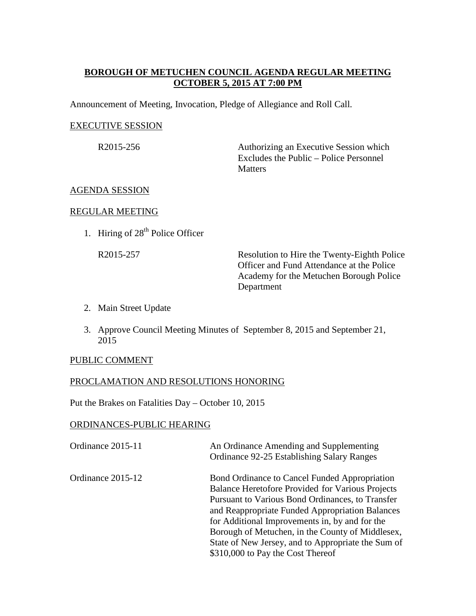## **BOROUGH OF METUCHEN COUNCIL AGENDA REGULAR MEETING OCTOBER 5, 2015 AT 7:00 PM**

Announcement of Meeting, Invocation, Pledge of Allegiance and Roll Call.

### EXECUTIVE SESSION

R2015-256 Authorizing an Executive Session which Excludes the Public – Police Personnel **Matters** 

## AGENDA SESSION

### REGULAR MEETING

1. Hiring of  $28<sup>th</sup>$  Police Officer

R2015-257 Resolution to Hire the Twenty-Eighth Police Officer and Fund Attendance at the Police Academy for the Metuchen Borough Police Department

- 2. Main Street Update
- 3. Approve Council Meeting Minutes of September 8, 2015 and September 21, 2015

#### PUBLIC COMMENT

## PROCLAMATION AND RESOLUTIONS HONORING

Put the Brakes on Fatalities Day – October 10, 2015

#### ORDINANCES-PUBLIC HEARING

| Ordinance 2015-11 | An Ordinance Amending and Supplementing<br>Ordinance 92-25 Establishing Salary Ranges                                                                                                                                                                                                                                                                                                                     |
|-------------------|-----------------------------------------------------------------------------------------------------------------------------------------------------------------------------------------------------------------------------------------------------------------------------------------------------------------------------------------------------------------------------------------------------------|
| Ordinance 2015-12 | Bond Ordinance to Cancel Funded Appropriation<br>Balance Heretofore Provided for Various Projects<br>Pursuant to Various Bond Ordinances, to Transfer<br>and Reappropriate Funded Appropriation Balances<br>for Additional Improvements in, by and for the<br>Borough of Metuchen, in the County of Middlesex,<br>State of New Jersey, and to Appropriate the Sum of<br>\$310,000 to Pay the Cost Thereof |
|                   |                                                                                                                                                                                                                                                                                                                                                                                                           |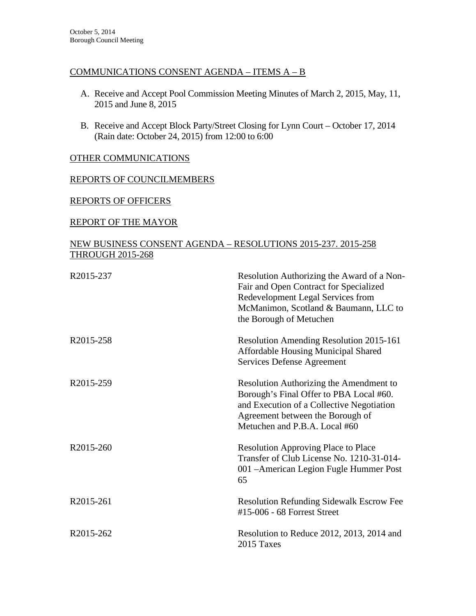## COMMUNICATIONS CONSENT AGENDA – ITEMS A – B

- A. Receive and Accept Pool Commission Meeting Minutes of March 2, 2015, May, 11, 2015 and June 8, 2015
- B. Receive and Accept Block Party/Street Closing for Lynn Court October 17, 2014 (Rain date: October 24, 2015) from 12:00 to 6:00

## OTHER COMMUNICATIONS

## REPORTS OF COUNCILMEMBERS

## REPORTS OF OFFICERS

## REPORT OF THE MAYOR

## NEW BUSINESS CONSENT AGENDA – RESOLUTIONS 2015-237. 2015-258 THROUGH 2015-268

| R2015-237 | Resolution Authorizing the Award of a Non-<br>Fair and Open Contract for Specialized<br>Redevelopment Legal Services from<br>McManimon, Scotland & Baumann, LLC to<br>the Borough of Metuchen        |
|-----------|------------------------------------------------------------------------------------------------------------------------------------------------------------------------------------------------------|
| R2015-258 | Resolution Amending Resolution 2015-161<br><b>Affordable Housing Municipal Shared</b><br><b>Services Defense Agreement</b>                                                                           |
| R2015-259 | Resolution Authorizing the Amendment to<br>Borough's Final Offer to PBA Local #60.<br>and Execution of a Collective Negotiation<br>Agreement between the Borough of<br>Metuchen and P.B.A. Local #60 |
| R2015-260 | <b>Resolution Approving Place to Place</b><br>Transfer of Club License No. 1210-31-014-<br>001 - American Legion Fugle Hummer Post<br>65                                                             |
| R2015-261 | <b>Resolution Refunding Sidewalk Escrow Fee</b><br>#15-006 - 68 Forrest Street                                                                                                                       |
| R2015-262 | Resolution to Reduce 2012, 2013, 2014 and<br>2015 Taxes                                                                                                                                              |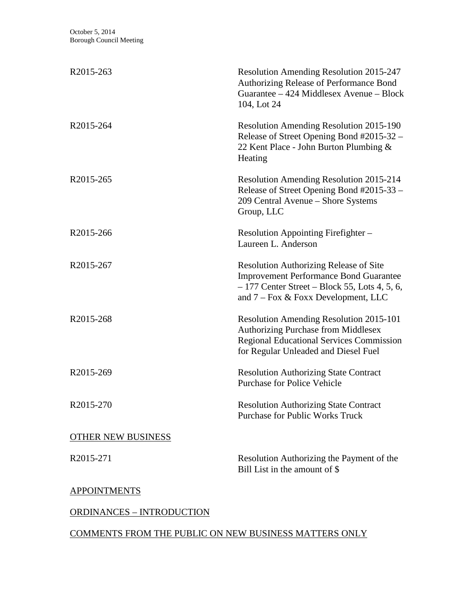| R2015-263                        | <b>Resolution Amending Resolution 2015-247</b><br>Authorizing Release of Performance Bond<br>Guarantee – 424 Middlesex Avenue – Block<br>104, Lot 24                                     |
|----------------------------------|------------------------------------------------------------------------------------------------------------------------------------------------------------------------------------------|
| R2015-264                        | <b>Resolution Amending Resolution 2015-190</b><br>Release of Street Opening Bond #2015-32 -<br>22 Kent Place - John Burton Plumbing &<br>Heating                                         |
| R2015-265                        | <b>Resolution Amending Resolution 2015-214</b><br>Release of Street Opening Bond #2015-33 -<br>209 Central Avenue - Shore Systems<br>Group, LLC                                          |
| R2015-266                        | Resolution Appointing Firefighter –<br>Laureen L. Anderson                                                                                                                               |
| R2015-267                        | <b>Resolution Authorizing Release of Site</b><br><b>Improvement Performance Bond Guarantee</b><br>$-177$ Center Street – Block 55, Lots 4, 5, 6,<br>and $7 - Fox & Fox$ Development, LLC |
| R2015-268                        | <b>Resolution Amending Resolution 2015-101</b><br><b>Authorizing Purchase from Middlesex</b><br><b>Regional Educational Services Commission</b><br>for Regular Unleaded and Diesel Fuel  |
| R2015-269                        | <b>Resolution Authorizing State Contract</b><br><b>Purchase for Police Vehicle</b>                                                                                                       |
| R2015-270                        | <b>Resolution Authorizing State Contract</b><br><b>Purchase for Public Works Truck</b>                                                                                                   |
| <b>OTHER NEW BUSINESS</b>        |                                                                                                                                                                                          |
| R2015-271                        | Resolution Authorizing the Payment of the<br>Bill List in the amount of \$                                                                                                               |
| <b>APPOINTMENTS</b>              |                                                                                                                                                                                          |
| <b>ORDINANCES - INTRODUCTION</b> |                                                                                                                                                                                          |

# COMMENTS FROM THE PUBLIC ON NEW BUSINESS MATTERS ONLY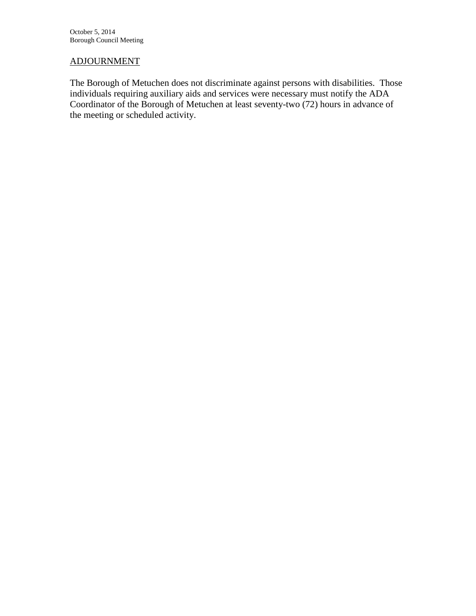## ADJOURNMENT

The Borough of Metuchen does not discriminate against persons with disabilities. Those individuals requiring auxiliary aids and services were necessary must notify the ADA Coordinator of the Borough of Metuchen at least seventy-two (72) hours in advance of the meeting or scheduled activity.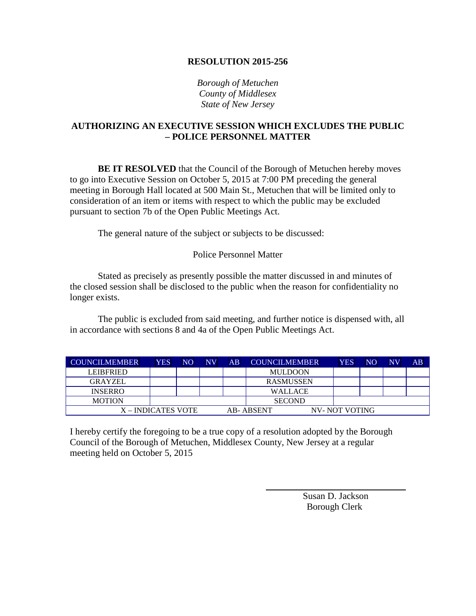*Borough of Metuchen County of Middlesex State of New Jersey*

## **AUTHORIZING AN EXECUTIVE SESSION WHICH EXCLUDES THE PUBLIC – POLICE PERSONNEL MATTER**

**BE IT RESOLVED** that the Council of the Borough of Metuchen hereby moves to go into Executive Session on October 5, 2015 at 7:00 PM preceding the general meeting in Borough Hall located at 500 Main St., Metuchen that will be limited only to consideration of an item or items with respect to which the public may be excluded pursuant to section 7b of the Open Public Meetings Act.

The general nature of the subject or subjects to be discussed:

### Police Personnel Matter

Stated as precisely as presently possible the matter discussed in and minutes of the closed session shall be disclosed to the public when the reason for confidentiality no longer exists.

The public is excluded from said meeting, and further notice is dispensed with, all in accordance with sections 8 and 4a of the Open Public Meetings Act.

| <b>COUNCILMEMBER</b> | <b>YES</b> | NO | NV | AB | <b>COUNCILMEMBER</b> | <b>YES</b>    | NO | NV | AB |
|----------------------|------------|----|----|----|----------------------|---------------|----|----|----|
| <b>LEIBERIED</b>     |            |    |    |    | <b>MULDOON</b>       |               |    |    |    |
| <b>GRAYZEL</b>       |            |    |    |    | <b>RASMUSSEN</b>     |               |    |    |    |
| <b>INSERRO</b>       |            |    |    |    | <b>WALLACE</b>       |               |    |    |    |
| <b>MOTION</b>        |            |    |    |    | <b>SECOND</b>        |               |    |    |    |
| X – INDICATES VOTE   |            |    |    |    | AB-ABSENT            | NV-NOT VOTING |    |    |    |

I hereby certify the foregoing to be a true copy of a resolution adopted by the Borough Council of the Borough of Metuchen, Middlesex County, New Jersey at a regular meeting held on October 5, 2015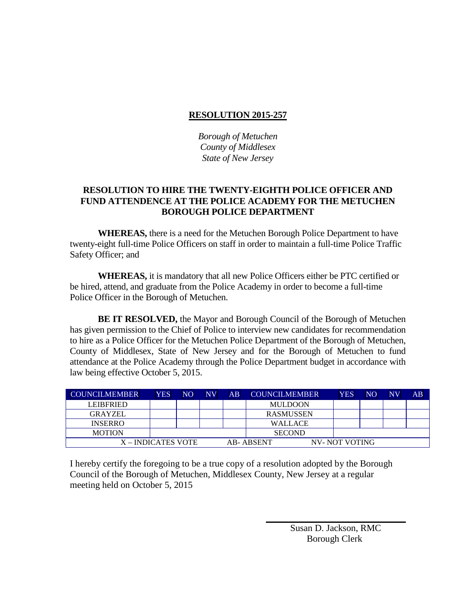*Borough of Metuchen County of Middlesex State of New Jersey* 

## **RESOLUTION TO HIRE THE TWENTY-EIGHTH POLICE OFFICER AND FUND ATTENDENCE AT THE POLICE ACADEMY FOR THE METUCHEN BOROUGH POLICE DEPARTMENT**

**WHEREAS,** there is a need for the Metuchen Borough Police Department to have twenty-eight full-time Police Officers on staff in order to maintain a full-time Police Traffic Safety Officer; and

**WHEREAS,** it is mandatory that all new Police Officers either be PTC certified or be hired, attend, and graduate from the Police Academy in order to become a full-time Police Officer in the Borough of Metuchen.

**BE IT RESOLVED,** the Mayor and Borough Council of the Borough of Metuchen has given permission to the Chief of Police to interview new candidates for recommendation to hire as a Police Officer for the Metuchen Police Department of the Borough of Metuchen, County of Middlesex, State of New Jersey and for the Borough of Metuchen to fund attendance at the Police Academy through the Police Department budget in accordance with law being effective October 5, 2015.

| <b>COUNCILMEMBER</b> | <b>YES</b> | NO | <b>NV</b> | AB | <b>COUNCILMEMBER</b> | <b>YES</b>    | N <sub>O</sub> | $\overline{\text{NV}}$ | AB |
|----------------------|------------|----|-----------|----|----------------------|---------------|----------------|------------------------|----|
| <b>LEIBFRIED</b>     |            |    |           |    | <b>MULDOON</b>       |               |                |                        |    |
| <b>GRAYZEL</b>       |            |    |           |    | <b>RASMUSSEN</b>     |               |                |                        |    |
| <b>INSERRO</b>       |            |    |           |    | <b>WALLACE</b>       |               |                |                        |    |
| <b>MOTION</b>        |            |    |           |    | <b>SECOND</b>        |               |                |                        |    |
| X – INDICATES VOTE   |            |    |           |    | AB-ABSENT            | NV-NOT VOTING |                |                        |    |

I hereby certify the foregoing to be a true copy of a resolution adopted by the Borough Council of the Borough of Metuchen, Middlesex County, New Jersey at a regular meeting held on October 5, 2015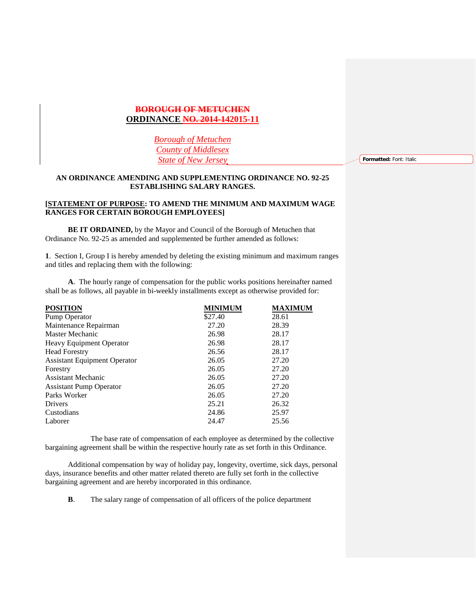### **BOROUGH OF METUCHEN ORDINANCE NO. 2014-142015-11**

*Borough of Metuchen County of Middlesex State of New Jersey*

**Formatted:** Font: Italic

#### **AN ORDINANCE AMENDING AND SUPPLEMENTING ORDINANCE NO. 92-25 ESTABLISHING SALARY RANGES.**

#### **[STATEMENT OF PURPOSE: TO AMEND THE MINIMUM AND MAXIMUM WAGE RANGES FOR CERTAIN BOROUGH EMPLOYEES]**

**BE IT ORDAINED,** by the Mayor and Council of the Borough of Metuchen that Ordinance No. 92-25 as amended and supplemented be further amended as follows:

**1**. Section I, Group I is hereby amended by deleting the existing minimum and maximum ranges and titles and replacing them with the following:

**A**. The hourly range of compensation for the public works positions hereinafter named shall be as follows, all payable in bi-weekly installments except as otherwise provided for:

| <b>POSITION</b>                     | <b>MINIMUM</b> | <b>MAXIMUM</b> |
|-------------------------------------|----------------|----------------|
| Pump Operator                       | \$27.40        | 28.61          |
| Maintenance Repairman               | 27.20          | 28.39          |
| Master Mechanic                     | 26.98          | 28.17          |
| <b>Heavy Equipment Operator</b>     | 26.98          | 28.17          |
| <b>Head Forestry</b>                | 26.56          | 28.17          |
| <b>Assistant Equipment Operator</b> | 26.05          | 27.20          |
| Forestry                            | 26.05          | 27.20          |
| Assistant Mechanic                  | 26.05          | 27.20          |
| <b>Assistant Pump Operator</b>      | 26.05          | 27.20          |
| Parks Worker                        | 26.05          | 27.20          |
| Drivers                             | 25.21          | 26.32          |
| Custodians                          | 24.86          | 25.97          |
| Laborer                             | 24.47          | 25.56          |

 The base rate of compensation of each employee as determined by the collective bargaining agreement shall be within the respective hourly rate as set forth in this Ordinance.

Additional compensation by way of holiday pay, longevity, overtime, sick days, personal days, insurance benefits and other matter related thereto are fully set forth in the collective bargaining agreement and are hereby incorporated in this ordinance.

**B**. The salary range of compensation of all officers of the police department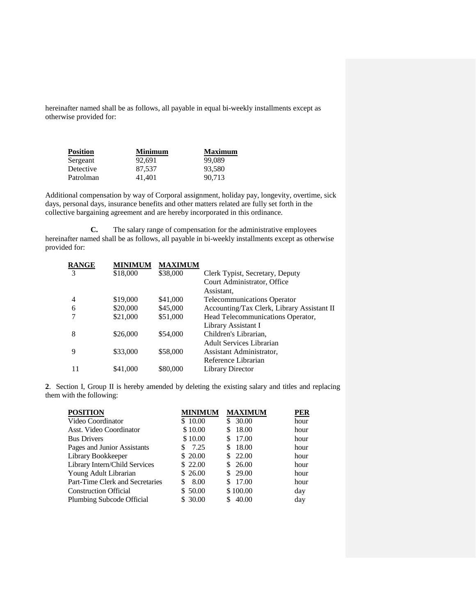hereinafter named shall be as follows, all payable in equal bi-weekly installments except as otherwise provided for:

| <b>Position</b> | Minimum | Maximum |
|-----------------|---------|---------|
| Sergeant        | 92.691  | 99,089  |
| Detective       | 87.537  | 93.580  |
| Patrolman       | 41.401  | 90.713  |

Additional compensation by way of Corporal assignment, holiday pay, longevity, overtime, sick days, personal days, insurance benefits and other matters related are fully set forth in the collective bargaining agreement and are hereby incorporated in this ordinance.

**C.** The salary range of compensation for the administrative employees hereinafter named shall be as follows, all payable in bi-weekly installments except as otherwise provided for:

| <b>RANGE</b> | <b>MINIMUM</b> | <b>MAXIMUM</b> |                                            |
|--------------|----------------|----------------|--------------------------------------------|
| 3            | \$18,000       | \$38,000       | Clerk Typist, Secretary, Deputy            |
|              |                |                | Court Administrator, Office                |
|              |                |                | Assistant,                                 |
| 4            | \$19,000       | \$41,000       | <b>Telecommunications Operator</b>         |
| 6            | \$20,000       | \$45,000       | Accounting/Tax Clerk, Library Assistant II |
|              | \$21,000       | \$51,000       | Head Telecommunications Operator,          |
|              |                |                | Library Assistant I                        |
| 8            | \$26,000       | \$54,000       | Children's Librarian,                      |
|              |                |                | <b>Adult Services Librarian</b>            |
| 9            | \$33,000       | \$58,000       | Assistant Administrator,                   |
|              |                |                | Reference Librarian                        |
| 11           | \$41,000       | \$80,000       | <b>Library Director</b>                    |
|              |                |                |                                            |

**2**. Section I, Group II is hereby amended by deleting the existing salary and titles and replacing them with the following:

| <b>POSITION</b>                 | <b>MINIMUM</b> | <b>MAXIMUM</b> | <b>PER</b> |
|---------------------------------|----------------|----------------|------------|
| Video Coordinator               | \$10.00        | \$30.00        | hour       |
| Asst. Video Coordinator         | \$10.00        | 18.00<br>\$    | hour       |
| <b>Bus Drivers</b>              | \$10.00        | 17.00          | hour       |
| Pages and Junior Assistants     | \$7.25         | \$18.00        | hour       |
| Library Bookkeeper              | \$20.00        | \$22.00        | hour       |
| Library Intern/Child Services   | \$22.00        | \$26.00        | hour       |
| Young Adult Librarian           | \$26.00        | \$29.00        | hour       |
| Part-Time Clerk and Secretaries | 8.00<br>\$     | 17.00<br>\$.   | hour       |
| <b>Construction Official</b>    | \$50.00        | \$100.00       | day        |
| Plumbing Subcode Official       | \$30.00        | 40.00          | day        |
|                                 |                |                |            |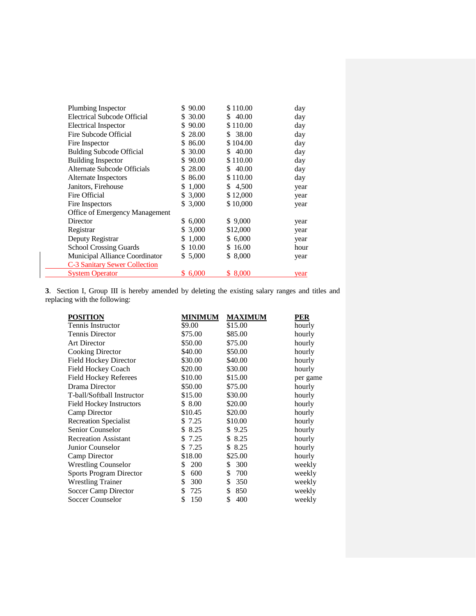| Plumbing Inspector                   | \$90.00     | \$110.00    | day  |
|--------------------------------------|-------------|-------------|------|
| Electrical Subcode Official          | \$ 30.00    | \$40.00     | day  |
| <b>Electrical Inspector</b>          | 90.00<br>S. | \$110.00    | day  |
| Fire Subcode Official                | 28.00<br>S. | 38.00<br>S. | day  |
| Fire Inspector                       | 86.00<br>S. | \$104.00    | day  |
| <b>Bulding Subcode Official</b>      | 30.00<br>\$ | 40.00<br>\$ | day  |
| <b>Building Inspector</b>            | 90.00<br>S. | \$110.00    | day  |
| Alternate Subcode Officials          | \$28.00     | 40.00<br>S. | day  |
| Alternate Inspectors                 | \$86.00     | \$110.00    | day  |
| Janitors, Firehouse                  | \$1,000     | \$ 4,500    | year |
| Fire Official                        | \$ 3,000    | \$12,000    | year |
| Fire Inspectors                      | \$ 3,000    | \$10,000    | year |
| Office of Emergency Management       |             |             |      |
| Director                             | 6,000<br>S. | \$9,000     | year |
| Registrar                            | \$ 3,000    | \$12,000    | year |
| Deputy Registrar                     | 1,000<br>S. | \$6,000     | year |
| <b>School Crossing Guards</b>        | 10.00<br>S. | \$16.00     | hour |
| Municipal Alliance Coordinator       | \$ 5,000    | \$ 8,000    | year |
| <b>C-3 Sanitary Sewer Collection</b> |             |             |      |
| <b>System Operator</b>               | \$6,000     | \$ 8,000    | year |
|                                      |             |             |      |

**3**. Section I, Group III is hereby amended by deleting the existing salary ranges and titles and replacing with the following:

| <b>POSITION</b>                 | <b>MINIMUM</b> | <b>MAXIMUM</b> | <b>PER</b> |
|---------------------------------|----------------|----------------|------------|
| Tennis Instructor               | \$9.00         | \$15.00        | hourly     |
| <b>Tennis Director</b>          | \$75.00        | \$85.00        | hourly     |
| <b>Art Director</b>             | \$50.00        | \$75.00        | hourly     |
| Cooking Director                | \$40.00        | \$50.00        | hourly     |
| <b>Field Hockey Director</b>    | \$30.00        | \$40.00        | hourly     |
| Field Hockey Coach              | \$20.00        | \$30.00        | hourly     |
| <b>Field Hockey Referees</b>    | \$10.00        | \$15.00        | per game   |
| Drama Director                  | \$50.00        | \$75.00        | hourly     |
| T-ball/Softball Instructor      | \$15.00        | \$30.00        | hourly     |
| <b>Field Hockey Instructors</b> | \$8.00         | \$20.00        | hourly     |
| Camp Director                   | \$10.45        | \$20.00        | hourly     |
| <b>Recreation Specialist</b>    | \$ 7.25        | \$10.00        | hourly     |
| Senior Counselor                | 8.25<br>\$     | \$9.25         | hourly     |
| <b>Recreation Assistant</b>     | 7.25<br>\$     | \$ 8.25        | hourly     |
| Junior Counselor                | 7.25<br>S      | 8.25<br>\$     | hourly     |
| Camp Director                   | \$18.00        | \$25.00        | hourly     |
| <b>Wrestling Counselor</b>      | 200<br>S       | 300<br>\$      | weekly     |
| <b>Sports Program Director</b>  | 600<br>\$      | 700<br>\$      | weekly     |
| <b>Wrestling Trainer</b>        | 300<br>\$      | \$<br>350      | weekly     |
| Soccer Camp Director            | 725<br>S       | \$<br>850      | weekly     |
| <b>Soccer Counselor</b>         | 150<br>\$      | 400<br>\$      | weekly     |
|                                 |                |                |            |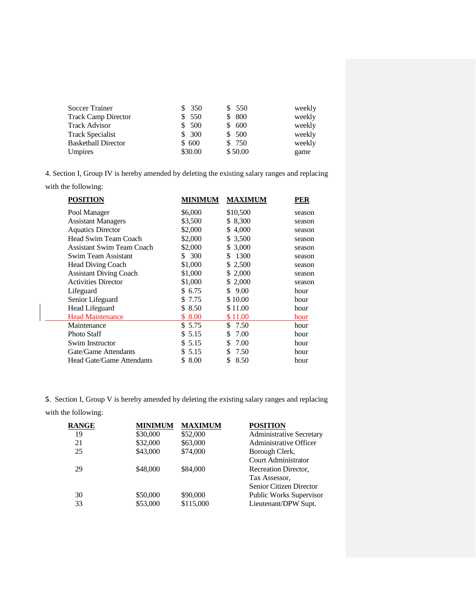| <b>Soccer Trainer</b>      | \$350   | \$ 550  | weekly |
|----------------------------|---------|---------|--------|
| <b>Track Camp Director</b> | \$550   | \$ 800  | weekly |
| <b>Track Advisor</b>       | \$500   | \$ 600  | weekly |
| <b>Track Specialist</b>    | \$300   | \$ 500  | weekly |
| <b>Basketball Director</b> | \$600   | \$ 750  | weekly |
| Umpires                    | \$30.00 | \$50.00 | game   |

4. Section I, Group IV is hereby amended by deleting the existing salary ranges and replacing

with the following:

| <b>POSITION</b>                  | <b>MINIMUM</b> | <b>MAXIMUM</b> | PER    |
|----------------------------------|----------------|----------------|--------|
| Pool Manager                     | \$6,000        | \$10,500       | season |
| <b>Assistant Managers</b>        | \$3,500        | \$ 8,300       | season |
| <b>Aquatics Director</b>         | \$2,000        | 4,000<br>\$    | season |
| Head Swim Team Coach             | \$2,000        | 3,500<br>S.    | season |
| <b>Assistant Swim Team Coach</b> | \$2,000        | \$ 3,000       | season |
| Swim Team Assistant              | 300<br>S.      | 1300<br>\$     | season |
| <b>Head Diving Coach</b>         | \$1,000        | 2,500<br>S.    | season |
| <b>Assistant Diving Coach</b>    | \$1,000        | 2,000<br>S.    | season |
| <b>Activities Director</b>       | \$1,000        | 2,000<br>S.    | season |
| Lifeguard                        | \$6.75         | 9.00<br>S      | hour   |
| Senior Lifeguard                 | \$ 7.75        | \$10.00        | hour   |
| Head Lifeguard                   | \$8.50         | \$11.00        | hour   |
| <b>Head Maintenance</b>          | \$8.00         | \$11.00        | hour   |
| Maintenance                      | \$5.75         | \$<br>7.50     | hour   |
| <b>Photo Staff</b>               | \$5.15         | 7.00<br>\$     | hour   |
| Swim Instructor                  | \$5.15         | 7.00<br>\$     | hour   |
| Gate/Game Attendants             | 5.15<br>S.     | 7.50<br>\$     | hour   |
| <b>Head Gate/Game Attendants</b> | 8.00<br>S      | 8.50<br>\$     | hour   |
|                                  |                |                |        |

**5**. Section I, Group V is hereby amended by deleting the existing salary ranges and replacing

with the following:

| <b>MINIMUM</b> | <b>MAXIMUM</b> | <b>POSITION</b>                |
|----------------|----------------|--------------------------------|
| \$30,000       | \$52,000       | Administrative Secretary       |
| \$32,000       | \$63,000       | <b>Administrative Officer</b>  |
| \$43,000       | \$74,000       | Borough Clerk,                 |
|                |                | Court Administrator            |
| \$48,000       | \$84,000       | Recreation Director,           |
|                |                | Tax Assessor.                  |
|                |                | Senior Citizen Director        |
| \$50,000       | \$90,000       | <b>Public Works Supervisor</b> |
| \$53,000       | \$115,000      | Lieutenant/DPW Supt.           |
|                |                |                                |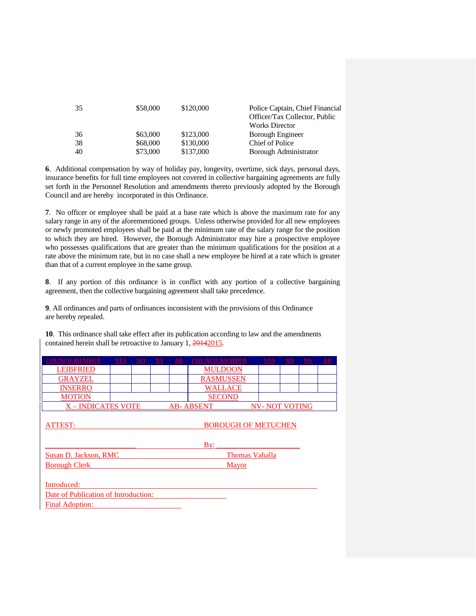| 35 | \$58,000 | \$120,000 | Police Captain, Chief Financial<br>Officer/Tax Collector, Public |
|----|----------|-----------|------------------------------------------------------------------|
|    |          |           | <b>Works Director</b>                                            |
| 36 | \$63,000 | \$123,000 | Borough Engineer                                                 |
| 38 | \$68,000 | \$130,000 | Chief of Police                                                  |
| 40 | \$73,000 | \$137,000 | Borough Administrator                                            |

**6**. Additional compensation by way of holiday pay, longevity, overtime, sick days, personal days, insurance benefits for full time employees not covered in collective bargaining agreements are fully set forth in the Personnel Resolution and amendments thereto previously adopted by the Borough Council and are hereby incorporated in this Ordinance.

**7**. No officer or employee shall be paid at a base rate which is above the maximum rate for any salary range in any of the aforementioned groups. Unless otherwise provided for all new employees or newly promoted employees shall be paid at the minimum rate of the salary range for the position to which they are hired. However, the Borough Administrator may hire a prospective employee who possesses qualifications that are greater than the minimum qualifications for the position at a rate above the minimum rate, but in no case shall a new employee be hired at a rate which is greater than that of a current employee in the same group.

**8**. If any portion of this ordinance is in conflict with any portion of a collective bargaining agreement, then the collective bargaining agreement shall take precedence.

**9**. All ordinances and parts of ordinances inconsistent with the provisions of this Ordinance are hereby repealed.

**10**. This ordinance shall take effect after its publication according to law and the amendments contained herein shall be retroactive to January 1, 20142015.

| <b>COUNCILMEMBER</b>    | YES |  |                            | $\mathbf{A}\mathbf{B}$ | <b>COUNCILMEMBER</b> |  | <u>YES</u>           |  |  |  |  |
|-------------------------|-----|--|----------------------------|------------------------|----------------------|--|----------------------|--|--|--|--|
| <b>LEIBFRIED</b>        |     |  |                            |                        | <b>MULDOON</b>       |  |                      |  |  |  |  |
| <b>GRAYZEL</b>          |     |  |                            |                        | <b>RASMUSSEN</b>     |  |                      |  |  |  |  |
| <b>INSERRO</b>          |     |  |                            |                        | <b>WALLACE</b>       |  |                      |  |  |  |  |
| <b>MOTION</b>           |     |  |                            |                        | <b>SECOND</b>        |  |                      |  |  |  |  |
| <b>X-INDICATES VOTE</b> |     |  | <b>AB-ABSENT</b>           |                        |                      |  | <b>NV-NOT VOTING</b> |  |  |  |  |
|                         |     |  |                            |                        |                      |  |                      |  |  |  |  |
| ATTEST:                 |     |  | <b>BOROUGH OF METUCHEN</b> |                        |                      |  |                      |  |  |  |  |

|                       | Bv:            |
|-----------------------|----------------|
| Susan D. Jackson, RMC | Thomas Vahalla |
| <b>Borough Clerk</b>  | <b>Mayor</b>   |

| Introduced:                          |  |
|--------------------------------------|--|
| Date of Publication of Introduction: |  |
| <b>Final Adoption:</b>               |  |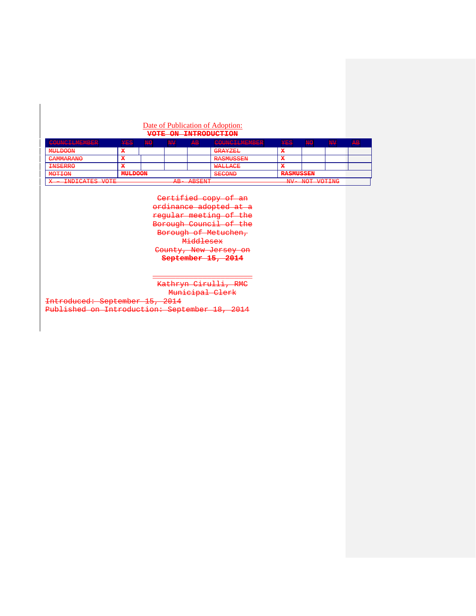#### Date of Publication of Adoption: **VOTE ON INTRODUCTION**

| $[CAIINIATI MMRI]$<br><u>i wa wa wa kasang mga mga mga mga mga k</u>                                                                                                                                                                                                                                  | <b>VDC</b><br>الأكال المناجي المترا | <b>NTO</b><br><b>STATISTICS</b> | NTV Z<br><b><i><u>FIRST WATER</u></i></b> | <del>AB</del>                                                                                                                                                                                                                                                     | COUNCIL MEMORE<br><u>i wa wa wa shinye ng matatagpang sa pag</u> | VFC<br>n an an gan A | <b>NO</b>                                                                                                                               | ŅН | $\overline{D}$<br><b>Contract Contract</b> |
|-------------------------------------------------------------------------------------------------------------------------------------------------------------------------------------------------------------------------------------------------------------------------------------------------------|-------------------------------------|---------------------------------|-------------------------------------------|-------------------------------------------------------------------------------------------------------------------------------------------------------------------------------------------------------------------------------------------------------------------|------------------------------------------------------------------|----------------------|-----------------------------------------------------------------------------------------------------------------------------------------|----|--------------------------------------------|
| <b>METE DOOM</b><br><b><i><u>INSTRUCTION CONTINUES.</u></i></b>                                                                                                                                                                                                                                       |                                     |                                 |                                           |                                                                                                                                                                                                                                                                   | CDAYZTT<br><b><i><u><b>PERSON BUSINESS</b></u></i></b>           | x                    |                                                                                                                                         |    |                                            |
| $C1$ MMA D A NIO<br><b>STATISTICS IN THE TABLE IS NOT</b>                                                                                                                                                                                                                                             |                                     |                                 |                                           |                                                                                                                                                                                                                                                                   | <b>DA CMITC CENT</b><br><b><i>PATHERS MARKETING MANY</i></b>     | x                    |                                                                                                                                         |    |                                            |
| <b>TMCTDDO</b><br><b>PERMIT AND PROPERTY AND INCOME.</b>                                                                                                                                                                                                                                              |                                     |                                 |                                           |                                                                                                                                                                                                                                                                   | <b>MATTACE</b><br><b>TAP OF THE REPORT OF A</b>                  | x                    |                                                                                                                                         |    |                                            |
| <b>MITT.DOONI</b><br><b>MOTTOM</b><br><b>CONTRACTOR</b><br><b><i>Profit Contact Contact Contact Contact Contact Contact Contact Contact Contact Contact Contact Contact Contact Contact Contact Contact Contact Contact Contact Contact Contact Contact Contact Contact Contact Contact Conta</i></b> |                                     |                                 |                                           | CECONID<br><b>CONTRACTOR</b>                                                                                                                                                                                                                                      | <b>DACMITCCTNI</b><br><b>INTERNATIVE CACATION</b>                |                      |                                                                                                                                         |    |                                            |
| <b>TNDICATEC VOTE</b><br>$\pi$<br>24500<br><b>AND YOU</b>                                                                                                                                                                                                                                             |                                     |                                 |                                           | <b>ADORNE</b><br><b><i><u>PARTIES COMPANIELLE STATE COMPANIELLE SERVICE COMPANIELLE SERVICE COMPANIEL SERVICE COMPANIEL SERVICE COMPANIEL SERVICE COMPANIEL SERVICE COMPANIEL SERVICE COMPANIEL SERVICE COMPANIEL SERVICE COMPANIEL SERVICE COMPANIEL</u></i></b> |                                                                  | <b>NTT 7</b><br>$-1$ | MIOT JIOTTNIC<br><b>TANK TANK AND A REPORT OF A REPORT OF A REPORT OF A REPORT OF A REPORT OF A REPORT OF A REPORT OF A REPORT OF A</b> |    |                                            |

Certified copy of an ordinance adopted at a regular meeting of the Borough Council of the Borough of Metuchen, Middlesex County, New Jersey on **September 15, 2014**

 $\overline{\phantom{a}}$  , and the contract of the contract of the contract of the contract of the contract of the contract of the contract of the contract of the contract of the contract of the contract of the contract of the contrac Kathryn Cirulli, RMC Municipal Clerk<br>2014

Introduced: September 15, Published on Introduction: September 18, 2014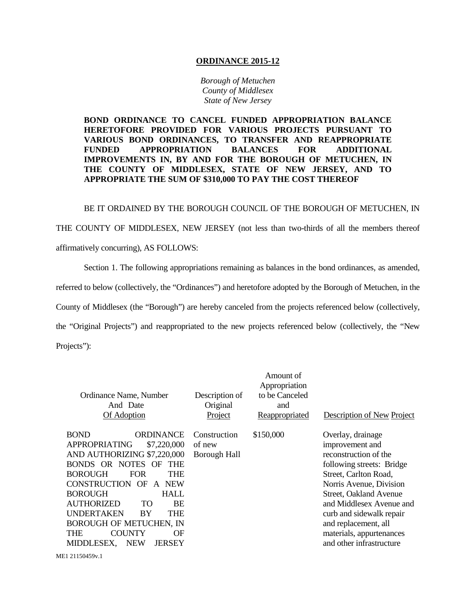#### **ORDINANCE 2015-12**

*Borough of Metuchen County of Middlesex State of New Jersey*

**BOND ORDINANCE TO CANCEL FUNDED APPROPRIATION BALANCE HERETOFORE PROVIDED FOR VARIOUS PROJECTS PURSUANT TO VARIOUS BOND ORDINANCES, TO TRANSFER AND REAPPROPRIATE FUNDED APPROPRIATION BALANCES FOR ADDITIONAL IMPROVEMENTS IN, BY AND FOR THE BOROUGH OF METUCHEN, IN THE COUNTY OF MIDDLESEX, STATE OF NEW JERSEY, AND TO APPROPRIATE THE SUM OF \$310,000 TO PAY THE COST THEREOF**

BE IT ORDAINED BY THE BOROUGH COUNCIL OF THE BOROUGH OF METUCHEN, IN

THE COUNTY OF MIDDLESEX, NEW JERSEY (not less than two-thirds of all the members thereof affirmatively concurring), AS FOLLOWS:

Section 1. The following appropriations remaining as balances in the bond ordinances, as amended, referred to below (collectively, the "Ordinances") and heretofore adopted by the Borough of Metuchen, in the County of Middlesex (the "Borough") are hereby canceled from the projects referenced below (collectively, the "Original Projects") and reappropriated to the new projects referenced below (collectively, the "New Projects"):

| <b>BOND</b><br>\$150,000<br><b>ORDINANCE</b><br>Construction<br>Overlay, drainage<br><b>APPROPRIATING</b><br>\$7,220,000<br>of new<br>improvement and<br>AND AUTHORIZING \$7,220,000<br>reconstruction of the<br><b>Borough Hall</b><br>BONDS OR NOTES<br>OF<br><b>THE</b><br>following streets: Bridge<br><b>BOROUGH</b><br><b>FOR</b><br><b>THE</b><br>Street, Carlton Road,<br>CONSTRUCTION OF<br><b>NEW</b><br>Norris Avenue, Division<br>$\mathbf{A}$<br><b>BOROUGH</b><br><b>HALL</b><br>Street, Oakland Avenue<br>AUTHORIZED<br>TO<br><b>BE</b><br><b>UNDERTAKEN</b><br>THE<br>BY<br>curb and sidewalk repair<br><b>BOROUGH OF METUCHEN, IN</b><br>and replacement, all<br><b>COUNTY</b><br>THE<br>ΟF<br>materials, appurtenances<br>and other infrastructure<br><b>NEW</b><br>MIDDLESEX,<br><b>JERSEY</b> | Ordinance Name, Number<br>And Date<br>Of Adoption | Description of<br>Original<br>Project | Amount of<br>Appropriation<br>to be Canceled<br>and<br>Reappropriated | Description of New Project |
|-------------------------------------------------------------------------------------------------------------------------------------------------------------------------------------------------------------------------------------------------------------------------------------------------------------------------------------------------------------------------------------------------------------------------------------------------------------------------------------------------------------------------------------------------------------------------------------------------------------------------------------------------------------------------------------------------------------------------------------------------------------------------------------------------------------------|---------------------------------------------------|---------------------------------------|-----------------------------------------------------------------------|----------------------------|
| ME1 21150459v.1                                                                                                                                                                                                                                                                                                                                                                                                                                                                                                                                                                                                                                                                                                                                                                                                   |                                                   |                                       |                                                                       | and Middlesex Avenue and   |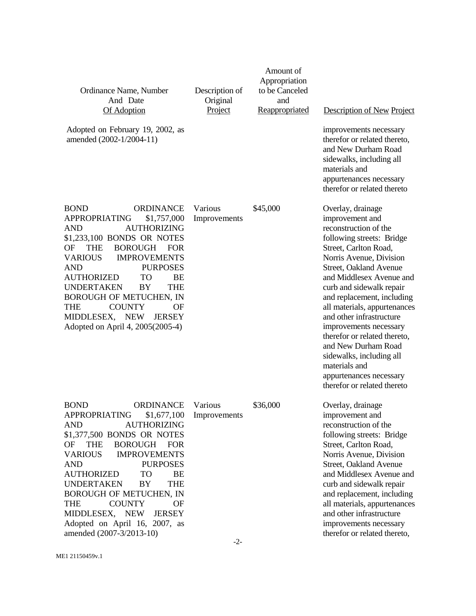| Ordinance Name, Number<br>And Date<br>Of Adoption<br>Adopted on February 19, 2002, as<br>amended (2002-1/2004-11)                                                                                                                                                                                                                                                                                                                                                                                                       | Description of<br>Original<br>Project | Amount of<br>Appropriation<br>to be Canceled<br>and<br>Reappropriated | Description of New Project<br>improvements necessary<br>therefor or related thereto,<br>and New Durham Road<br>sidewalks, including all<br>materials and<br>appurtenances necessary<br>therefor or related thereto                                                                                                                                                                                                                                                                  |  |  |  |
|-------------------------------------------------------------------------------------------------------------------------------------------------------------------------------------------------------------------------------------------------------------------------------------------------------------------------------------------------------------------------------------------------------------------------------------------------------------------------------------------------------------------------|---------------------------------------|-----------------------------------------------------------------------|-------------------------------------------------------------------------------------------------------------------------------------------------------------------------------------------------------------------------------------------------------------------------------------------------------------------------------------------------------------------------------------------------------------------------------------------------------------------------------------|--|--|--|
| <b>BOND</b><br><b>ORDINANCE</b><br>\$1,757,000<br><b>APPROPRIATING</b><br><b>AND</b><br><b>AUTHORIZING</b><br>\$1,233,100 BONDS OR NOTES<br><b>THE</b><br><b>BOROUGH</b><br>OF<br><b>FOR</b><br><b>VARIOUS</b><br><b>IMPROVEMENTS</b><br><b>AND</b><br><b>PURPOSES</b><br><b>AUTHORIZED</b><br>TO<br><b>BE</b><br><b>UNDERTAKEN</b><br><b>BY</b><br><b>THE</b><br><b>BOROUGH OF METUCHEN, IN</b><br><b>THE</b><br><b>COUNTY</b><br>OF<br>MIDDLESEX,<br><b>NEW</b><br><b>JERSEY</b><br>Adopted on April 4, 2005(2005-4)  | Various<br>Improvements               | \$45,000                                                              | Overlay, drainage<br>improvement and<br>reconstruction of the<br>following streets: Bridge<br>Street, Carlton Road,<br>Norris Avenue, Division<br>Street, Oakland Avenue<br>and Middlesex Avenue and<br>curb and sidewalk repair<br>and replacement, including<br>all materials, appurtenances<br>and other infrastructure<br>improvements necessary<br>therefor or related thereto,<br>and New Durham Road<br>sidewalks, including all<br>materials and<br>appurtenances necessary |  |  |  |
| <b>ORDINANCE</b><br><b>BOND</b><br><b>APPROPRIATING</b><br>\$1,677,100<br><b>AND</b><br><b>AUTHORIZING</b><br>\$1,377,500 BONDS OR NOTES<br>OF<br><b>BOROUGH</b><br><b>THE</b><br><b>FOR</b><br><b>VARIOUS</b><br><b>IMPROVEMENTS</b><br><b>AND</b><br><b>PURPOSES</b><br><b>AUTHORIZED</b><br>TO<br>BE<br><b>UNDERTAKEN</b><br><b>BY</b><br><b>THE</b><br><b>BOROUGH OF METUCHEN, IN</b><br>THE<br><b>COUNTY</b><br>OF<br>MIDDLESEX, NEW<br><b>JERSEY</b><br>Adopted on April 16, 2007, as<br>amended (2007-3/2013-10) | Various<br>Improvements<br>$-2-$      | \$36,000                                                              | Overlay, drainage<br>improvement and<br>reconstruction of the<br>following streets: Bridge<br>Street, Carlton Road,<br>Norris Avenue, Division<br>Street, Oakland Avenue<br>and Middlesex Avenue and<br>curb and sidewalk repair<br>and replacement, including<br>all materials, appurtenances<br>and other infrastructure<br>improvements necessary<br>therefor or related thereto,                                                                                                |  |  |  |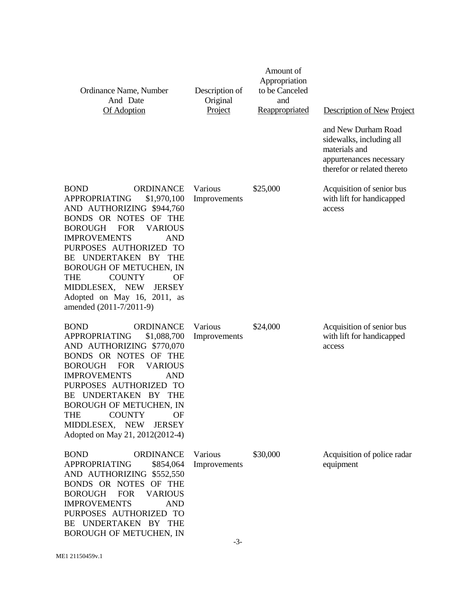| Ordinance Name, Number<br>And Date<br>Of Adoption                                                                                                                                                                                                                                                                                                                                                                               | Description of<br>Original<br>Project | Amount of<br>Appropriation<br>to be Canceled<br>and<br><b>Reappropriated</b> | Description of New Project                                                                                                 |
|---------------------------------------------------------------------------------------------------------------------------------------------------------------------------------------------------------------------------------------------------------------------------------------------------------------------------------------------------------------------------------------------------------------------------------|---------------------------------------|------------------------------------------------------------------------------|----------------------------------------------------------------------------------------------------------------------------|
|                                                                                                                                                                                                                                                                                                                                                                                                                                 |                                       |                                                                              | and New Durham Road<br>sidewalks, including all<br>materials and<br>appurtenances necessary<br>therefor or related thereto |
| BOND<br><b>ORDINANCE</b><br><b>APPROPRIATING</b><br>\$1,970,100<br>AND AUTHORIZING \$944,760<br>BONDS OR NOTES OF THE<br><b>BOROUGH</b><br><b>FOR</b><br><b>VARIOUS</b><br><b>IMPROVEMENTS</b><br><b>AND</b><br>PURPOSES AUTHORIZED TO<br>UNDERTAKEN BY THE<br>BE<br><b>BOROUGH OF METUCHEN, IN</b><br><b>COUNTY</b><br>THE<br>OF<br>MIDDLESEX, NEW<br><b>JERSEY</b><br>Adopted on May 16, 2011, as<br>amended (2011-7/2011-9)  | Various<br>Improvements               | \$25,000                                                                     | Acquisition of senior bus<br>with lift for handicapped<br>access                                                           |
| <b>ORDINANCE</b><br><b>BOND</b><br><b>APPROPRIATING</b><br>\$1,088,700<br>AND AUTHORIZING \$770,070<br>BONDS OR NOTES<br>OF THE<br><b>BOROUGH</b><br><b>FOR</b><br><b>VARIOUS</b><br><b>IMPROVEMENTS</b><br><b>AND</b><br>PURPOSES AUTHORIZED TO<br>BE UNDERTAKEN BY THE<br><b>BOROUGH OF METUCHEN, IN</b><br><b>THE</b><br><b>COUNTY</b><br>OF<br><b>NEW</b><br>MIDDLESEX,<br><b>JERSEY</b><br>Adopted on May 21, 2012(2012-4) | Various<br>Improvements               | \$24,000                                                                     | Acquisition of senior bus<br>with lift for handicapped<br>access                                                           |
| <b>BOND</b><br><b>ORDINANCE</b><br><b>APPROPRIATING</b><br>\$854,064<br>AND AUTHORIZING \$552,550<br>BONDS OR NOTES OF THE<br><b>BOROUGH</b><br><b>FOR</b><br><b>VARIOUS</b><br><b>IMPROVEMENTS</b><br><b>AND</b><br>PURPOSES AUTHORIZED TO<br>BE UNDERTAKEN BY THE<br>BOROUGH OF METUCHEN, IN                                                                                                                                  | Various<br>Improvements               | \$30,000                                                                     | Acquisition of police radar<br>equipment                                                                                   |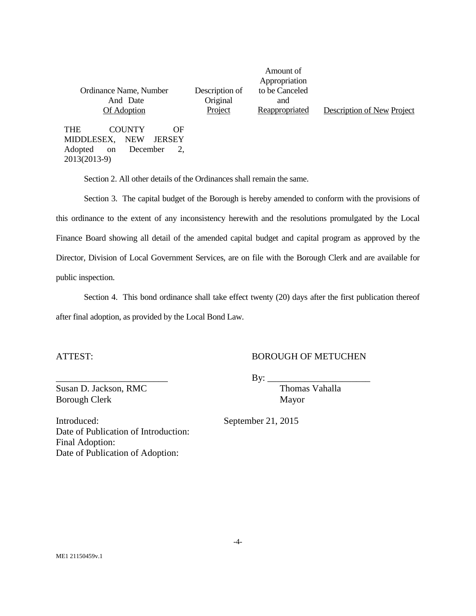| Ordinance Name, Number<br>And Date<br>Of Adoption                                                                 | Description of<br>Original<br>Project | Appropriation<br>to be Canceled<br>and<br>Reappropriated | Description of New Project |  |  |
|-------------------------------------------------------------------------------------------------------------------|---------------------------------------|----------------------------------------------------------|----------------------------|--|--|
| THE<br><b>COUNTY</b><br>OF<br>MIDDLESEX,<br>NEW<br>JERSEY<br>Adopted<br>December<br><sub>on</sub><br>2013(2013-9) |                                       |                                                          |                            |  |  |

Amount of

Section 2. All other details of the Ordinances shall remain the same.

Section 3. The capital budget of the Borough is hereby amended to conform with the provisions of this ordinance to the extent of any inconsistency herewith and the resolutions promulgated by the Local Finance Board showing all detail of the amended capital budget and capital program as approved by the Director, Division of Local Government Services, are on file with the Borough Clerk and are available for public inspection.

Section 4. This bond ordinance shall take effect twenty (20) days after the first publication thereof after final adoption, as provided by the Local Bond Law.

### ATTEST: BOROUGH OF METUCHEN

\_\_\_\_\_\_\_\_\_\_\_\_\_\_\_\_\_\_\_\_\_\_\_\_ By: \_\_\_\_\_\_\_\_\_\_\_\_\_\_\_\_\_\_\_\_\_\_

Susan D. Jackson, RMC Thomas Vahalla Borough Clerk Mayor

Introduced: September 21, 2015 Date of Publication of Introduction: Final Adoption:

Date of Publication of Adoption: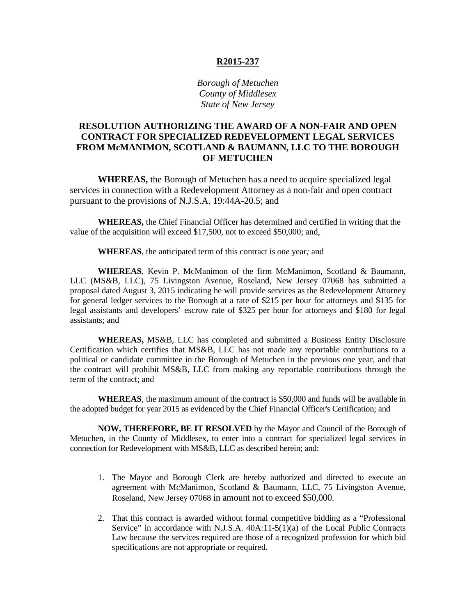#### **R2015-237**

*Borough of Metuchen County of Middlesex State of New Jersey*

## **RESOLUTION AUTHORIZING THE AWARD OF A NON-FAIR AND OPEN CONTRACT FOR SPECIALIZED REDEVELOPMENT LEGAL SERVICES FROM McMANIMON, SCOTLAND & BAUMANN, LLC TO THE BOROUGH OF METUCHEN**

**WHEREAS,** the Borough of Metuchen has a need to acquire specialized legal services in connection with a Redevelopment Attorney as a non-fair and open contract pursuant to the provisions of N.J.S.A. 19:44A-20.5; and

**WHEREAS,** the Chief Financial Officer has determined and certified in writing that the value of the acquisition will exceed \$17,500, not to exceed \$50,000; and,

**WHEREAS**, the anticipated term of this contract is *one* year*;* and

**WHEREAS**, Kevin P. McManimon of the firm McManimon, Scotland & Baumann, LLC (MS&B, LLC), 75 Livingston Avenue, Roseland, New Jersey 07068 has submitted a proposal dated August 3, 2015 indicating he will provide services as the Redevelopment Attorney for general ledger services to the Borough at a rate of \$215 per hour for attorneys and \$135 for legal assistants and developers' escrow rate of \$325 per hour for attorneys and \$180 for legal assistants; and

**WHEREAS,** MS&B, LLC has completed and submitted a Business Entity Disclosure Certification which certifies that MS&B, LLC has not made any reportable contributions to a political or candidate committee in the Borough of Metuchen in the previous one year, and that the contract will prohibit MS&B, LLC from making any reportable contributions through the term of the contract; and

**WHEREAS**, the maximum amount of the contract is \$50,000 and funds will be available in the adopted budget for year 2015 as evidenced by the Chief Financial Officer's Certification; and

**NOW, THEREFORE, BE IT RESOLVED** by the Mayor and Council of the Borough of Metuchen, in the County of Middlesex, to enter into a contract for specialized legal services in connection for Redevelopment with MS&B, LLC as described herein; and:

- 1. The Mayor and Borough Clerk are hereby authorized and directed to execute an agreement with McManimon, Scotland & Baumann, LLC, 75 Livingston Avenue, Roseland, New Jersey 07068 in amount not to exceed \$50,000.
- 2. That this contract is awarded without formal competitive bidding as a "Professional Service" in accordance with N.J.S.A. 40A:11-5(1)(a) of the Local Public Contracts Law because the services required are those of a recognized profession for which bid specifications are not appropriate or required.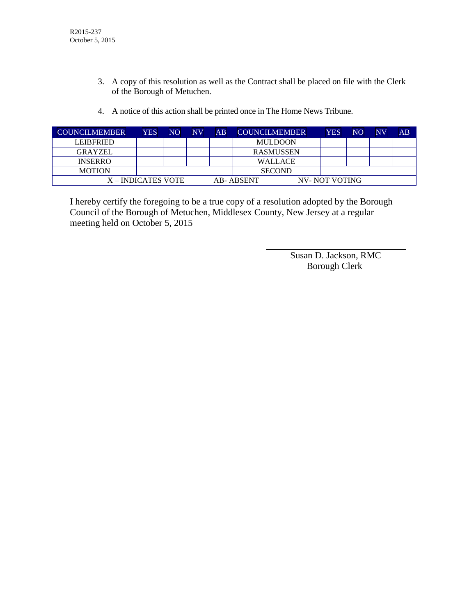- 3. A copy of this resolution as well as the Contract shall be placed on file with the Clerk of the Borough of Metuchen.
- 4. A notice of this action shall be printed once in The Home News Tribune.

| <b>COUNCILMEMBER</b> | <b>YES</b> | NO. | NV. | AB | <b>COUNCILMEMBER</b> | YES           | N <sub>O</sub> | $N\bar{V}$ | AB |
|----------------------|------------|-----|-----|----|----------------------|---------------|----------------|------------|----|
| <b>LEIBFRIED</b>     |            |     |     |    | <b>MULDOON</b>       |               |                |            |    |
| <b>GRAYZEL</b>       |            |     |     |    | <b>RASMUSSEN</b>     |               |                |            |    |
| <b>INSERRO</b>       |            |     |     |    | <b>WALLACE</b>       |               |                |            |    |
| <b>MOTION</b>        |            |     |     |    | <b>SECOND</b>        |               |                |            |    |
| X – INDICATES VOTE   |            |     |     |    | AB-ABSENT            | NV-NOT VOTING |                |            |    |

I hereby certify the foregoing to be a true copy of a resolution adopted by the Borough Council of the Borough of Metuchen, Middlesex County, New Jersey at a regular meeting held on October 5, 2015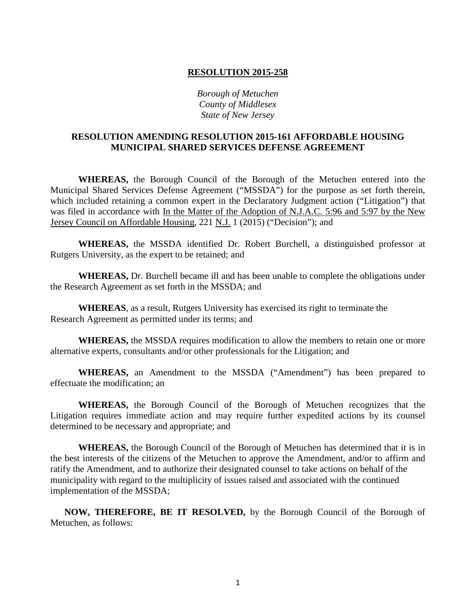*Borough of Metuchen County of Middlesex State of New Jersey*

## **RESOLUTION AMENDING RESOLUTION 2015-161 AFFORDABLE HOUSING MUNICIPAL SHARED SERVICES DEFENSE AGREEMENT**

**WHEREAS,** the Borough Council of the Borough of the Metuchen entered into the Municipal Shared Services Defense Agreement ("MSSDA") for the purpose as set forth therein, which included retaining a common expert in the Declaratory Judgment action ("Litigation") that was filed in accordance with In the Matter of the Adoption of N.J.A.C. 5:96 and 5:97 by the New Jersey Council on Affordable Housing, 221 N.J. 1 (2015) ("Decision"); and

**WHEREAS,** the MSSDA identified Dr. Robert Burchell, a distinguished professor at Rutgers University, as the expert to be retained; and

**WHEREAS,** Dr. Burchell became ill and has been unable to complete the obligations under the Research Agreement as set forth in the MSSDA; and

**WHEREAS**, as a result, Rutgers University has exercised its right to terminate the Research Agreement as permitted under its terms; and

**WHEREAS,** the MSSDA requires modification to allow the members to retain one or more alternative experts, consultants and/or other professionals for the Litigation; and

**WHEREAS,** an Amendment to the MSSDA ("Amendment") has been prepared to effectuate the modification; an

**WHEREAS,** the Borough Council of the Borough of Metuchen recognizes that the Litigation requires immediate action and may require further expedited actions by its counsel determined to be necessary and appropriate; and

**WHEREAS,** the Borough Council of the Borough of Metuchen has determined that it is in the best interests of the citizens of the Metuchen to approve the Amendment, and/or to affirm and ratify the Amendment, and to authorize their designated counsel to take actions on behalf of the municipality with regard to the multiplicity of issues raised and associated with the continued implementation of the MSSDA;

**NOW, THEREFORE, BE IT RESOLVED,** by the Borough Council of the Borough of Metuchen, as follows: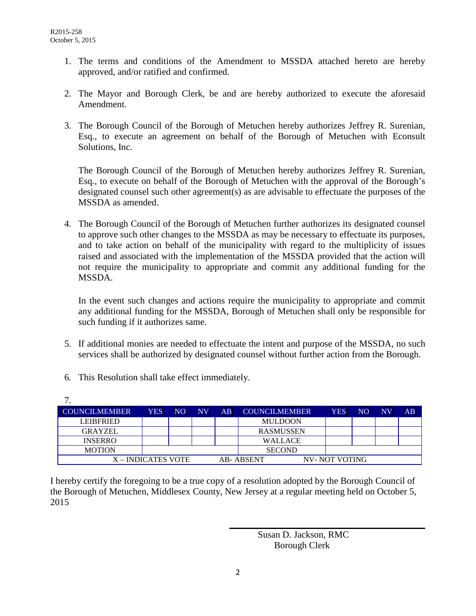- 1. The terms and conditions of the Amendment to MSSDA attached hereto are hereby approved, and/or ratified and confirmed.
- 2. The Mayor and Borough Clerk, be and are hereby authorized to execute the aforesaid Amendment.
- 3. The Borough Council of the Borough of Metuchen hereby authorizes Jeffrey R. Surenian, Esq., to execute an agreement on behalf of the Borough of Metuchen with Econsult Solutions, Inc.

The Borough Council of the Borough of Metuchen hereby authorizes Jeffrey R. Surenian, Esq., to execute on behalf of the Borough of Metuchen with the approval of the Borough's designated counsel such other agreement(s) as are advisable to effectuate the purposes of the MSSDA as amended.

4. The Borough Council of the Borough of Metuchen further authorizes its designated counsel to approve such other changes to the MSSDA as may be necessary to effectuate its purposes, and to take action on behalf of the municipality with regard to the multiplicity of issues raised and associated with the implementation of the MSSDA provided that the action will not require the municipality to appropriate and commit any additional funding for the MSSDA.

In the event such changes and actions require the municipality to appropriate and commit any additional funding for the MSSDA, Borough of Metuchen shall only be responsible for such funding if it authorizes same.

- 5. If additional monies are needed to effectuate the intent and purpose of the MSSDA, no such services shall be authorized by designated counsel without further action from the Borough.
- 6. This Resolution shall take effect immediately.

| . .                  |            |     |           |    |                      |               |                |                        |    |
|----------------------|------------|-----|-----------|----|----------------------|---------------|----------------|------------------------|----|
| <b>COUNCILMEMBER</b> | <b>YES</b> | NO. | <b>NV</b> | AB | <b>COUNCILMEMBER</b> | <b>YES</b>    | N <sub>O</sub> | $\overline{\text{NV}}$ | AB |
| <b>LEIBFRIED</b>     |            |     |           |    | <b>MULDOON</b>       |               |                |                        |    |
| <b>GRAYZEL</b>       |            |     |           |    | <b>RASMUSSEN</b>     |               |                |                        |    |
| <b>INSERRO</b>       |            |     |           |    | <b>WALLACE</b>       |               |                |                        |    |
| <b>MOTION</b>        |            |     |           |    | <b>SECOND</b>        |               |                |                        |    |
| X – INDICATES VOTE   |            |     |           |    | <b>AB-ABSENT</b>     | NV-NOT VOTING |                |                        |    |

I hereby certify the foregoing to be a true copy of a resolution adopted by the Borough Council of the Borough of Metuchen, Middlesex County, New Jersey at a regular meeting held on October 5, 2015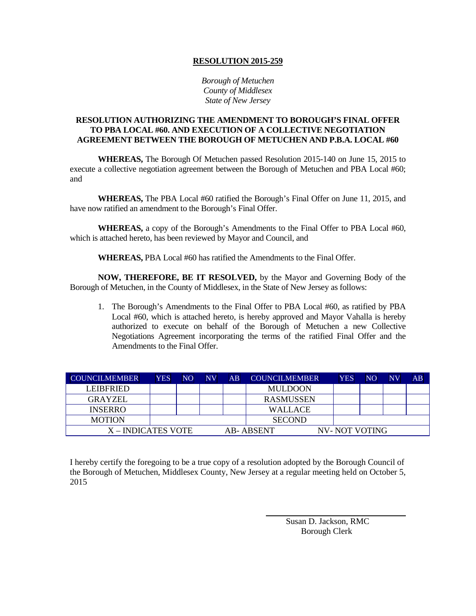*Borough of Metuchen County of Middlesex State of New Jersey*

#### **RESOLUTION AUTHORIZING THE AMENDMENT TO BOROUGH'S FINAL OFFER TO PBA LOCAL #60. AND EXECUTION OF A COLLECTIVE NEGOTIATION AGREEMENT BETWEEN THE BOROUGH OF METUCHEN AND P.B.A. LOCAL #60**

**WHEREAS,** The Borough Of Metuchen passed Resolution 2015-140 on June 15, 2015 to execute a collective negotiation agreement between the Borough of Metuchen and PBA Local #60; and

**WHEREAS,** The PBA Local #60 ratified the Borough's Final Offer on June 11, 2015, and have now ratified an amendment to the Borough's Final Offer.

**WHEREAS,** a copy of the Borough's Amendments to the Final Offer to PBA Local #60, which is attached hereto, has been reviewed by Mayor and Council, and

**WHEREAS,** PBA Local #60 has ratified the Amendments to the Final Offer.

**NOW, THEREFORE, BE IT RESOLVED,** by the Mayor and Governing Body of the Borough of Metuchen, in the County of Middlesex, in the State of New Jersey as follows:

1. The Borough's Amendments to the Final Offer to PBA Local #60, as ratified by PBA Local #60, which is attached hereto, is hereby approved and Mayor Vahalla is hereby authorized to execute on behalf of the Borough of Metuchen a new Collective Negotiations Agreement incorporating the terms of the ratified Final Offer and the Amendments to the Final Offer.

| <b>COUNCILMEMBER</b> | <b>YES</b> | NO | NV | AB | <b>COUNCILMEMBER</b> | <b>YES</b>    | NO | NV | AB |
|----------------------|------------|----|----|----|----------------------|---------------|----|----|----|
| <b>LEIBERIED</b>     |            |    |    |    | <b>MULDOON</b>       |               |    |    |    |
| <b>GRAYZEL</b>       |            |    |    |    | <b>RASMUSSEN</b>     |               |    |    |    |
| <b>INSERRO</b>       |            |    |    |    | WALLACE.             |               |    |    |    |
| <b>MOTION</b>        |            |    |    |    | <b>SECOND</b>        |               |    |    |    |
| X – INDICATES VOTE   |            |    |    |    | AB-ABSENT            | NV-NOT VOTING |    |    |    |

I hereby certify the foregoing to be a true copy of a resolution adopted by the Borough Council of the Borough of Metuchen, Middlesex County, New Jersey at a regular meeting held on October 5, 2015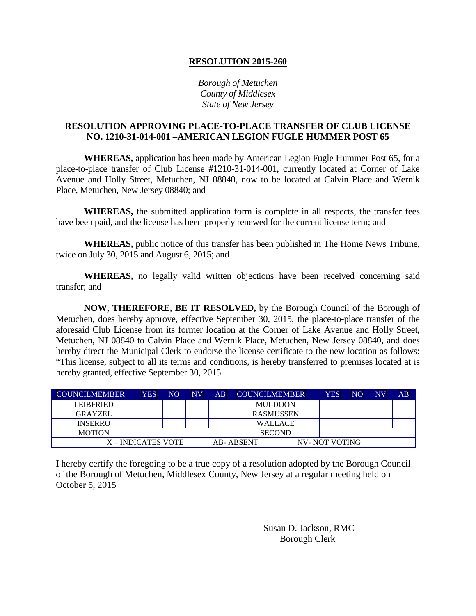*Borough of Metuchen County of Middlesex State of New Jersey*

### **RESOLUTION APPROVING PLACE-TO-PLACE TRANSFER OF CLUB LICENSE NO. 1210-31-014-001 –AMERICAN LEGION FUGLE HUMMER POST 65**

**WHEREAS,** application has been made by American Legion Fugle Hummer Post 65, for a place-to-place transfer of Club License #1210-31-014-001, currently located at Corner of Lake Avenue and Holly Street, Metuchen, NJ 08840, now to be located at Calvin Place and Wernik Place, Metuchen, New Jersey 08840; and

**WHEREAS,** the submitted application form is complete in all respects, the transfer fees have been paid, and the license has been properly renewed for the current license term; and

**WHEREAS,** public notice of this transfer has been published in The Home News Tribune, twice on July 30, 2015 and August 6, 2015; and

**WHEREAS,** no legally valid written objections have been received concerning said transfer; and

**NOW, THEREFORE, BE IT RESOLVED,** by the Borough Council of the Borough of Metuchen, does hereby approve, effective September 30, 2015, the place-to-place transfer of the aforesaid Club License from its former location at the Corner of Lake Avenue and Holly Street, Metuchen, NJ 08840 to Calvin Place and Wernik Place, Metuchen, New Jersey 08840, and does hereby direct the Municipal Clerk to endorse the license certificate to the new location as follows: "This license, subject to all its terms and conditions, is hereby transferred to premises located at is hereby granted, effective September 30, 2015.

| <b>COUNCILMEMBER</b> | <b>YES</b>         | NO | <b>NV</b> | $\overline{AB}$ | <b>COUNCILMEMBER</b> | <b>YES</b>    | NO. | <b>NV</b> | AB |
|----------------------|--------------------|----|-----------|-----------------|----------------------|---------------|-----|-----------|----|
| <b>LEIBFRIED</b>     |                    |    |           |                 | <b>MULDOON</b>       |               |     |           |    |
| <b>GRAYZEL</b>       |                    |    |           |                 | <b>RASMUSSEN</b>     |               |     |           |    |
| <b>INSERRO</b>       |                    |    |           |                 | <b>WALLACE</b>       |               |     |           |    |
| <b>MOTION</b>        |                    |    |           |                 | <b>SECOND</b>        |               |     |           |    |
|                      | X – INDICATES VOTE |    |           |                 | AB-ABSENT            | NV-NOT VOTING |     |           |    |

I hereby certify the foregoing to be a true copy of a resolution adopted by the Borough Council of the Borough of Metuchen, Middlesex County, New Jersey at a regular meeting held on October 5, 2015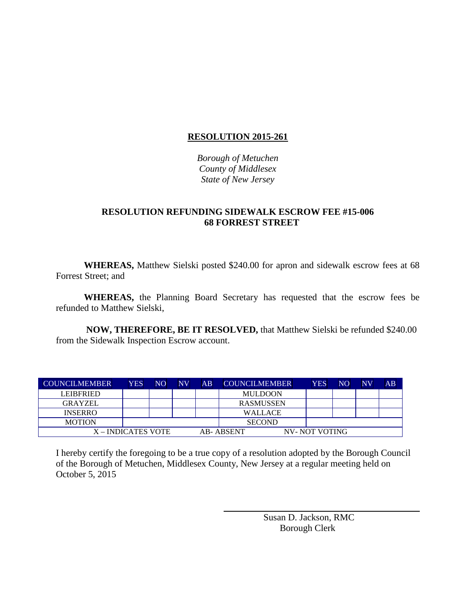*Borough of Metuchen County of Middlesex State of New Jersey*

## **RESOLUTION REFUNDING SIDEWALK ESCROW FEE #15-006 68 FORREST STREET**

**WHEREAS,** Matthew Sielski posted \$240.00 for apron and sidewalk escrow fees at 68 Forrest Street; and

**WHEREAS,** the Planning Board Secretary has requested that the escrow fees be refunded to Matthew Sielski,

**NOW, THEREFORE, BE IT RESOLVED,** that Matthew Sielski be refunded \$240.00 from the Sidewalk Inspection Escrow account.

| <b>COUNCILMEMBER</b> | <b>YES</b>         | NO. | NV | AB | <b>COUNCILMEMBER</b> | <b>YES</b>    | NO | NV | $\overline{AB}$ |
|----------------------|--------------------|-----|----|----|----------------------|---------------|----|----|-----------------|
| <b>LEIBERIED</b>     |                    |     |    |    | <b>MULDOON</b>       |               |    |    |                 |
| <b>GRAYZEL</b>       |                    |     |    |    | <b>RASMUSSEN</b>     |               |    |    |                 |
| <b>INSERRO</b>       |                    |     |    |    | <b>WALLACE</b>       |               |    |    |                 |
| <b>MOTION</b>        |                    |     |    |    | <b>SECOND</b>        |               |    |    |                 |
|                      | X – INDICATES VOTE |     |    |    | AB-ABSENT            | NV-NOT VOTING |    |    |                 |

I hereby certify the foregoing to be a true copy of a resolution adopted by the Borough Council of the Borough of Metuchen, Middlesex County, New Jersey at a regular meeting held on October 5, 2015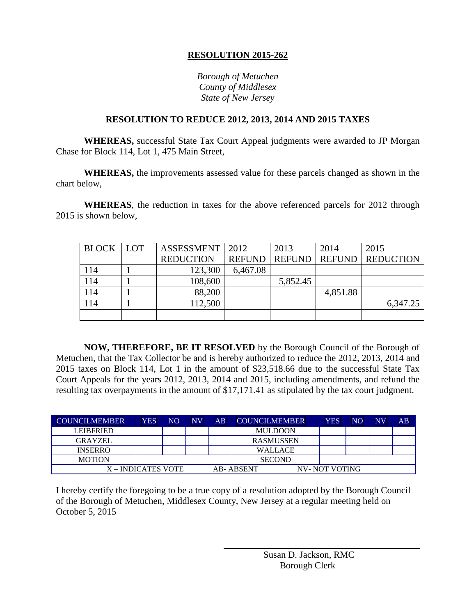*Borough of Metuchen County of Middlesex State of New Jersey*

## **RESOLUTION TO REDUCE 2012, 2013, 2014 AND 2015 TAXES**

**WHEREAS,** successful State Tax Court Appeal judgments were awarded to JP Morgan Chase for Block 114, Lot 1, 475 Main Street,

**WHEREAS,** the improvements assessed value for these parcels changed as shown in the chart below,

**WHEREAS**, the reduction in taxes for the above referenced parcels for 2012 through 2015 is shown below,

| BLOCK LOT | <b>ASSESSMENT</b> | 2012          | 2013          | 2014          | 2015             |
|-----------|-------------------|---------------|---------------|---------------|------------------|
|           | <b>REDUCTION</b>  | <b>REFUND</b> | <b>REFUND</b> | <b>REFUND</b> | <b>REDUCTION</b> |
| 114       | 123,300           | 6,467.08      |               |               |                  |
| 114       | 108,600           |               | 5,852.45      |               |                  |
| 114       | 88,200            |               |               | 4,851.88      |                  |
| 114       | 112,500           |               |               |               | 6,347.25         |
|           |                   |               |               |               |                  |

**NOW, THEREFORE, BE IT RESOLVED** by the Borough Council of the Borough of Metuchen, that the Tax Collector be and is hereby authorized to reduce the 2012, 2013, 2014 and 2015 taxes on Block 114, Lot 1 in the amount of \$23,518.66 due to the successful State Tax Court Appeals for the years 2012, 2013, 2014 and 2015, including amendments, and refund the resulting tax overpayments in the amount of \$17,171.41 as stipulated by the tax court judgment.

| <b>COUNCILMEMBER</b> | <b>YES</b>         | NO | <b>NV</b> | $\overline{AB}$ | <b>COUNCILMEMBER</b> | <b>YES</b>    | <b>NO</b> | NV | AB |
|----------------------|--------------------|----|-----------|-----------------|----------------------|---------------|-----------|----|----|
| <b>LEIBFRIED</b>     |                    |    |           |                 | <b>MULDOON</b>       |               |           |    |    |
| <b>GRAYZEL</b>       |                    |    |           |                 | <b>RASMUSSEN</b>     |               |           |    |    |
| <b>INSERRO</b>       |                    |    |           |                 | <b>WALLACE</b>       |               |           |    |    |
| <b>MOTION</b>        |                    |    |           |                 | <b>SECOND</b>        |               |           |    |    |
|                      | X – INDICATES VOTE |    |           |                 | AB- ABSENT           | NV-NOT VOTING |           |    |    |

I hereby certify the foregoing to be a true copy of a resolution adopted by the Borough Council of the Borough of Metuchen, Middlesex County, New Jersey at a regular meeting held on October 5, 2015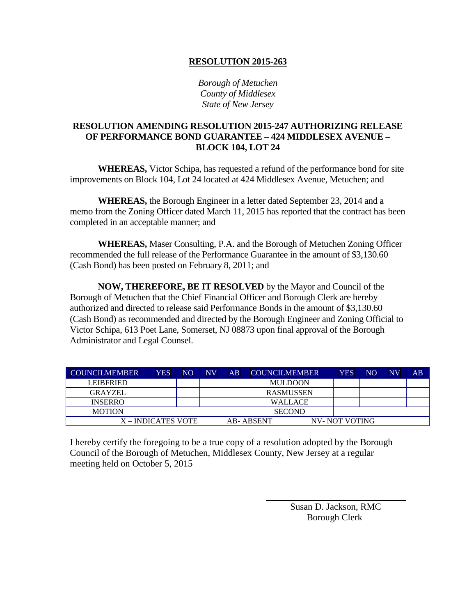*Borough of Metuchen County of Middlesex State of New Jersey*

## **RESOLUTION AMENDING RESOLUTION 2015-247 AUTHORIZING RELEASE OF PERFORMANCE BOND GUARANTEE – 424 MIDDLESEX AVENUE – BLOCK 104, LOT 24**

**WHEREAS,** Victor Schipa, has requested a refund of the performance bond for site improvements on Block 104, Lot 24 located at 424 Middlesex Avenue, Metuchen; and

**WHEREAS,** the Borough Engineer in a letter dated September 23, 2014 and a memo from the Zoning Officer dated March 11, 2015 has reported that the contract has been completed in an acceptable manner; and

**WHEREAS,** Maser Consulting, P.A. and the Borough of Metuchen Zoning Officer recommended the full release of the Performance Guarantee in the amount of \$3,130.60 (Cash Bond) has been posted on February 8, 2011; and

**NOW, THEREFORE, BE IT RESOLVED** by the Mayor and Council of the Borough of Metuchen that the Chief Financial Officer and Borough Clerk are hereby authorized and directed to release said Performance Bonds in the amount of \$3,130.60 (Cash Bond) as recommended and directed by the Borough Engineer and Zoning Official to Victor Schipa, 613 Poet Lane, Somerset, NJ 08873 upon final approval of the Borough Administrator and Legal Counsel.

| <b>COUNCILMEMBER</b> | <b>YES</b> | NO | <b>NV</b> | AB | <b>COUNCILMEMBER</b> | <b>YES</b>     | NO | $\overline{\text{NV}}$ | AB |
|----------------------|------------|----|-----------|----|----------------------|----------------|----|------------------------|----|
| <b>LEIBFRIED</b>     |            |    |           |    | <b>MULDOON</b>       |                |    |                        |    |
| GRAYZEL              |            |    |           |    | <b>RASMUSSEN</b>     |                |    |                        |    |
| <b>INSERRO</b>       |            |    |           |    | <b>WALLACE</b>       |                |    |                        |    |
| <b>MOTION</b>        |            |    |           |    | <b>SECOND</b>        |                |    |                        |    |
| X – INDICATES VOTE   |            |    |           |    | AB- ABSENT           | NV- NOT VOTING |    |                        |    |

I hereby certify the foregoing to be a true copy of a resolution adopted by the Borough Council of the Borough of Metuchen, Middlesex County, New Jersey at a regular meeting held on October 5, 2015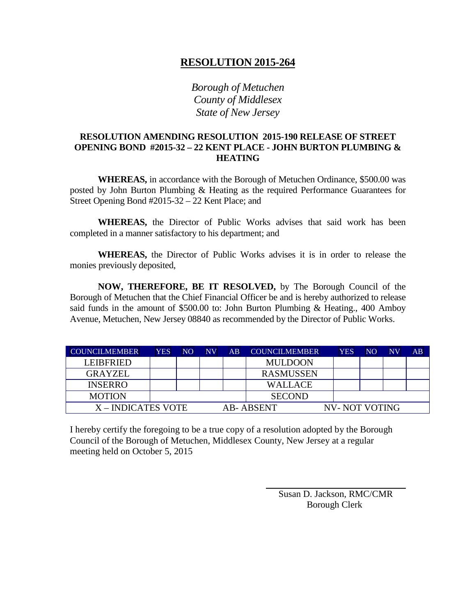*Borough of Metuchen County of Middlesex State of New Jersey*

## **RESOLUTION AMENDING RESOLUTION 2015-190 RELEASE OF STREET OPENING BOND #2015-32 – 22 KENT PLACE - JOHN BURTON PLUMBING & HEATING**

**WHEREAS,** in accordance with the Borough of Metuchen Ordinance, \$500.00 was posted by John Burton Plumbing & Heating as the required Performance Guarantees for Street Opening Bond #2015-32 – 22 Kent Place; and

**WHEREAS,** the Director of Public Works advises that said work has been completed in a manner satisfactory to his department; and

**WHEREAS,** the Director of Public Works advises it is in order to release the monies previously deposited,

**NOW, THEREFORE, BE IT RESOLVED,** by The Borough Council of the Borough of Metuchen that the Chief Financial Officer be and is hereby authorized to release said funds in the amount of \$500.00 to: John Burton Plumbing & Heating., 400 Amboy Avenue, Metuchen, New Jersey 08840 as recommended by the Director of Public Works.

| <b>COUNCILMEMBER</b> | <b>YES</b>                  | NO | NV | AB | <b>COUNCILMEMBER</b> | <b>YES</b> | NO | <b>NV</b> | $\overline{AB}$ |
|----------------------|-----------------------------|----|----|----|----------------------|------------|----|-----------|-----------------|
| LEIBFRIED.           |                             |    |    |    | <b>MULDOON</b>       |            |    |           |                 |
| <b>GRAYZEL</b>       |                             |    |    |    | <b>RASMUSSEN</b>     |            |    |           |                 |
| <b>INSERRO</b>       |                             |    |    |    | <b>WALLACE</b>       |            |    |           |                 |
| <b>MOTION</b>        |                             |    |    |    | <b>SECOND</b>        |            |    |           |                 |
| X-INDICATES VOTE     | NV- NOT VOTING<br>AB-ABSENT |    |    |    |                      |            |    |           |                 |

I hereby certify the foregoing to be a true copy of a resolution adopted by the Borough Council of the Borough of Metuchen, Middlesex County, New Jersey at a regular meeting held on October 5, 2015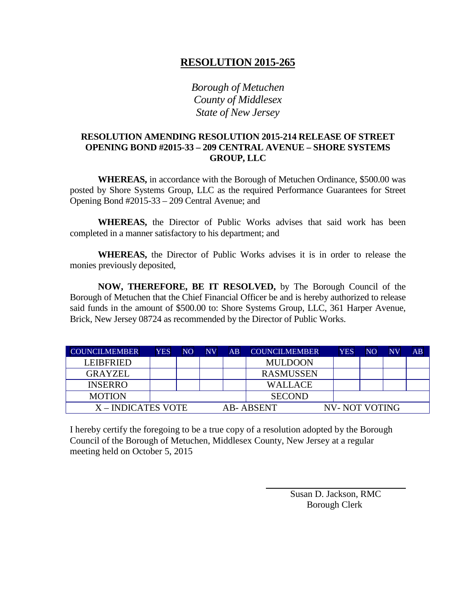*Borough of Metuchen County of Middlesex State of New Jersey*

## **RESOLUTION AMENDING RESOLUTION 2015-214 RELEASE OF STREET OPENING BOND #2015-33 – 209 CENTRAL AVENUE – SHORE SYSTEMS GROUP, LLC**

**WHEREAS,** in accordance with the Borough of Metuchen Ordinance, \$500.00 was posted by Shore Systems Group, LLC as the required Performance Guarantees for Street Opening Bond #2015-33 – 209 Central Avenue; and

**WHEREAS,** the Director of Public Works advises that said work has been completed in a manner satisfactory to his department; and

**WHEREAS,** the Director of Public Works advises it is in order to release the monies previously deposited,

**NOW, THEREFORE, BE IT RESOLVED,** by The Borough Council of the Borough of Metuchen that the Chief Financial Officer be and is hereby authorized to release said funds in the amount of \$500.00 to: Shore Systems Group, LLC, 361 Harper Avenue, Brick, New Jersey 08724 as recommended by the Director of Public Works.

| <b>COUNCILMEMBER</b> | <b>YES</b>                  | NO. | NV | AB | <b>COUNCILMEMBER</b> | YES | NO | <b>NV</b> | AB |
|----------------------|-----------------------------|-----|----|----|----------------------|-----|----|-----------|----|
| LEIBFRIED.           |                             |     |    |    | <b>MULDOON</b>       |     |    |           |    |
| <b>GRAYZEL</b>       |                             |     |    |    | <b>RASMUSSEN</b>     |     |    |           |    |
| <b>INSERRO</b>       |                             |     |    |    | <b>WALLACE</b>       |     |    |           |    |
| <b>MOTION</b>        |                             |     |    |    | <b>SECOND</b>        |     |    |           |    |
| X-INDICATES VOTE     | NV- NOT VOTING<br>AB-ABSENT |     |    |    |                      |     |    |           |    |

I hereby certify the foregoing to be a true copy of a resolution adopted by the Borough Council of the Borough of Metuchen, Middlesex County, New Jersey at a regular meeting held on October 5, 2015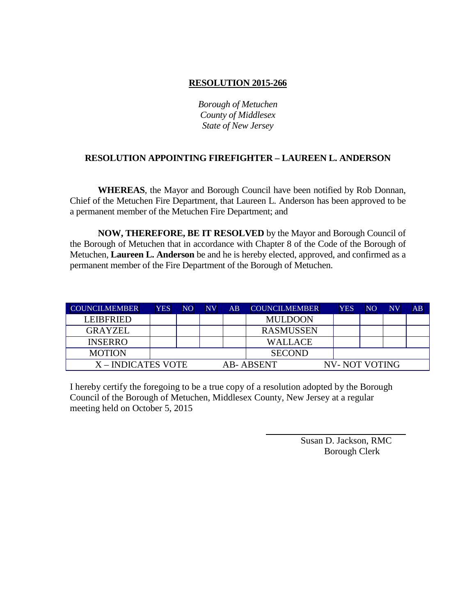*Borough of Metuchen County of Middlesex State of New Jersey*

## **RESOLUTION APPOINTING FIREFIGHTER – LAUREEN L. ANDERSON**

**WHEREAS**, the Mayor and Borough Council have been notified by Rob Donnan, Chief of the Metuchen Fire Department, that Laureen L. Anderson has been approved to be a permanent member of the Metuchen Fire Department; and

**NOW, THEREFORE, BE IT RESOLVED** by the Mayor and Borough Council of the Borough of Metuchen that in accordance with Chapter 8 of the Code of the Borough of Metuchen, **Laureen L. Anderson** be and he is hereby elected, approved, and confirmed as a permanent member of the Fire Department of the Borough of Metuchen.

| <b>COUNCILMEMBER</b> | <b>YES</b> | NO | NV | $\overline{AB}$ | <b>COUNCILMEMBER</b> | <b>YES</b>           | N <sub>O</sub> | $\overline{\text{NV}}$ | AB |
|----------------------|------------|----|----|-----------------|----------------------|----------------------|----------------|------------------------|----|
| <b>LEIBERIED</b>     |            |    |    |                 | <b>MULDOON</b>       |                      |                |                        |    |
| <b>GRAYZEL</b>       |            |    |    |                 | <b>RASMUSSEN</b>     |                      |                |                        |    |
| <b>INSERRO</b>       |            |    |    |                 | <b>WALLACE</b>       |                      |                |                        |    |
| <b>MOTION</b>        |            |    |    |                 | <b>SECOND</b>        |                      |                |                        |    |
| X – INDICATES VOTE   |            |    |    |                 | AB- ABSENT           | <b>NV-NOT VOTING</b> |                |                        |    |

I hereby certify the foregoing to be a true copy of a resolution adopted by the Borough Council of the Borough of Metuchen, Middlesex County, New Jersey at a regular meeting held on October 5, 2015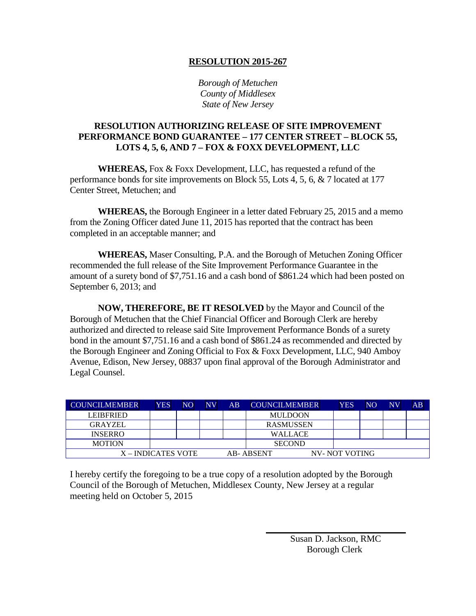*Borough of Metuchen County of Middlesex State of New Jersey*

## **RESOLUTION AUTHORIZING RELEASE OF SITE IMPROVEMENT PERFORMANCE BOND GUARANTEE – 177 CENTER STREET – BLOCK 55, LOTS 4, 5, 6, AND 7 – FOX & FOXX DEVELOPMENT, LLC**

**WHEREAS,** Fox & Foxx Development, LLC, has requested a refund of the performance bonds for site improvements on Block 55, Lots 4, 5, 6, & 7 located at 177 Center Street, Metuchen; and

**WHEREAS,** the Borough Engineer in a letter dated February 25, 2015 and a memo from the Zoning Officer dated June 11, 2015 has reported that the contract has been completed in an acceptable manner; and

**WHEREAS,** Maser Consulting, P.A. and the Borough of Metuchen Zoning Officer recommended the full release of the Site Improvement Performance Guarantee in the amount of a surety bond of \$7,751.16 and a cash bond of \$861.24 which had been posted on September 6, 2013; and

**NOW, THEREFORE, BE IT RESOLVED** by the Mayor and Council of the Borough of Metuchen that the Chief Financial Officer and Borough Clerk are hereby authorized and directed to release said Site Improvement Performance Bonds of a surety bond in the amount \$7,751.16 and a cash bond of \$861.24 as recommended and directed by the Borough Engineer and Zoning Official to Fox & Foxx Development, LLC, 940 Amboy Avenue, Edison, New Jersey, 08837 upon final approval of the Borough Administrator and Legal Counsel.

| <b>COUNCILMEMBER</b> | YES | NO | NV | AB | <b>COUNCILMEMBER</b> | <b>YES</b>    | <b>NO</b> | <b>NV</b> | AB |
|----------------------|-----|----|----|----|----------------------|---------------|-----------|-----------|----|
| <b>LEIBERIED</b>     |     |    |    |    | <b>MULDOON</b>       |               |           |           |    |
| GRAYZEL              |     |    |    |    | <b>RASMUSSEN</b>     |               |           |           |    |
| <b>INSERRO</b>       |     |    |    |    | <b>WALLACE</b>       |               |           |           |    |
| <b>MOTION</b>        |     |    |    |    | <b>SECOND</b>        |               |           |           |    |
| X – INDICATES VOTE   |     |    |    |    | AB-ABSENT            | NV-NOT VOTING |           |           |    |

I hereby certify the foregoing to be a true copy of a resolution adopted by the Borough Council of the Borough of Metuchen, Middlesex County, New Jersey at a regular meeting held on October 5, 2015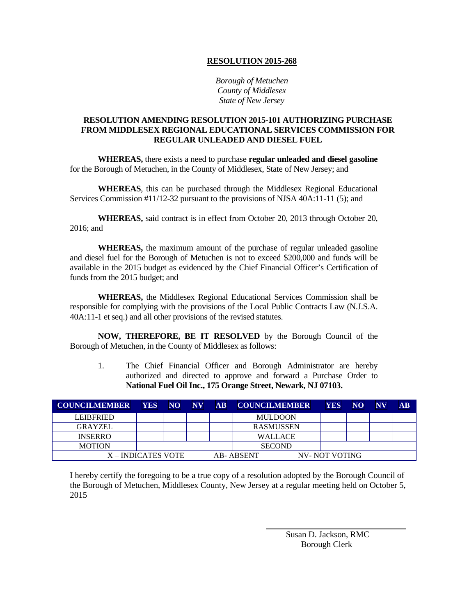*Borough of Metuchen County of Middlesex State of New Jersey*

#### **RESOLUTION AMENDING RESOLUTION 2015-101 AUTHORIZING PURCHASE FROM MIDDLESEX REGIONAL EDUCATIONAL SERVICES COMMISSION FOR REGULAR UNLEADED AND DIESEL FUEL**

**WHEREAS,** there exists a need to purchase **regular unleaded and diesel gasoline** for the Borough of Metuchen, in the County of Middlesex, State of New Jersey; and

**WHEREAS**, this can be purchased through the Middlesex Regional Educational Services Commission #11/12-32 pursuant to the provisions of NJSA 40A:11-11 (5); and

**WHEREAS,** said contract is in effect from October 20, 2013 through October 20, 2016; and

**WHEREAS,** the maximum amount of the purchase of regular unleaded gasoline and diesel fuel for the Borough of Metuchen is not to exceed \$200,000 and funds will be available in the 2015 budget as evidenced by the Chief Financial Officer's Certification of funds from the 2015 budget; and

**WHEREAS,** the Middlesex Regional Educational Services Commission shall be responsible for complying with the provisions of the Local Public Contracts Law (N.J.S.A. 40A:11-1 et seq.) and all other provisions of the revised statutes.

**NOW, THEREFORE, BE IT RESOLVED** by the Borough Council of the Borough of Metuchen, in the County of Middlesex as follows:

1. The Chief Financial Officer and Borough Administrator are hereby authorized and directed to approve and forward a Purchase Order to **National Fuel Oil Inc., 175 Orange Street, Newark, NJ 07103.**

| <b>COUNCILMEMBER</b> | <b>YES</b> | NO. | $\bf NV$ | $\overline{\mathbf{AB}}$ | <b>COUNCILMEMBER</b> | <b>YES</b>    | <b>NO</b> | $N\bar{V}$ | $\overline{\mathbf{AB}}$ |
|----------------------|------------|-----|----------|--------------------------|----------------------|---------------|-----------|------------|--------------------------|
| <b>LEIBERIED</b>     |            |     |          |                          | <b>MULDOON</b>       |               |           |            |                          |
| <b>GRAYZEL</b>       |            |     |          |                          | <b>RASMUSSEN</b>     |               |           |            |                          |
| <b>INSERRO</b>       |            |     |          |                          | <b>WALLACE</b>       |               |           |            |                          |
| <b>MOTION</b>        |            |     |          |                          | <b>SECOND</b>        |               |           |            |                          |
| X – INDICATES VOTE   |            |     |          |                          | <b>AB-ABSENT</b>     | NV-NOT VOTING |           |            |                          |

I hereby certify the foregoing to be a true copy of a resolution adopted by the Borough Council of the Borough of Metuchen, Middlesex County, New Jersey at a regular meeting held on October 5, 2015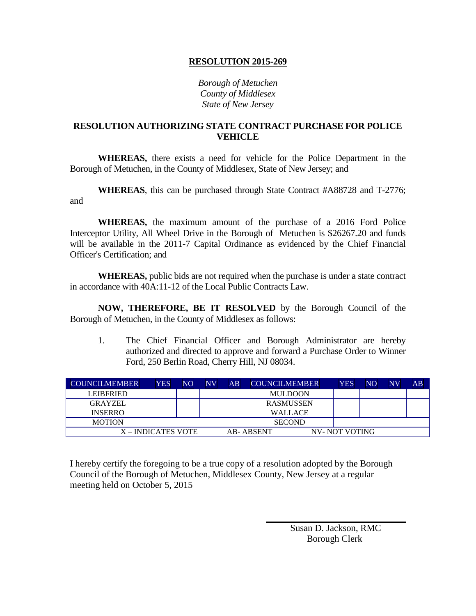*Borough of Metuchen County of Middlesex State of New Jersey*

### **RESOLUTION AUTHORIZING STATE CONTRACT PURCHASE FOR POLICE VEHICLE**

**WHEREAS,** there exists a need for vehicle for the Police Department in the Borough of Metuchen, in the County of Middlesex, State of New Jersey; and

**WHEREAS**, this can be purchased through State Contract #A88728 and T-2776; and

**WHEREAS,** the maximum amount of the purchase of a 2016 Ford Police Interceptor Utility, All Wheel Drive in the Borough of Metuchen is \$26267.20 and funds will be available in the 2011-7 Capital Ordinance as evidenced by the Chief Financial Officer's Certification; and

**WHEREAS,** public bids are not required when the purchase is under a state contract in accordance with 40A:11-12 of the Local Public Contracts Law.

**NOW, THEREFORE, BE IT RESOLVED** by the Borough Council of the Borough of Metuchen, in the County of Middlesex as follows:

1. The Chief Financial Officer and Borough Administrator are hereby authorized and directed to approve and forward a Purchase Order to Winner Ford, 250 Berlin Road, Cherry Hill, NJ 08034.

| <b>COUNCILMEMBER</b> | <b>YES</b> | NO | <b>NV</b>                  | AB | <b>COUNCILMEMBER</b> | <b>YES</b> | N <sub>O</sub> | $\overline{\text{NV}}$ | AB |
|----------------------|------------|----|----------------------------|----|----------------------|------------|----------------|------------------------|----|
| <b>LEIBFRIED</b>     |            |    |                            |    | <b>MULDOON</b>       |            |                |                        |    |
| <b>GRAYZEL</b>       |            |    |                            |    | <b>RASMUSSEN</b>     |            |                |                        |    |
| <b>INSERRO</b>       |            |    |                            |    | <b>WALLACE</b>       |            |                |                        |    |
| <b>MOTION</b>        |            |    |                            |    | <b>SECOND</b>        |            |                |                        |    |
| X – INDICATES VOTE   |            |    | NV-NOT VOTING<br>AB-ABSENT |    |                      |            |                |                        |    |

I hereby certify the foregoing to be a true copy of a resolution adopted by the Borough Council of the Borough of Metuchen, Middlesex County, New Jersey at a regular meeting held on October 5, 2015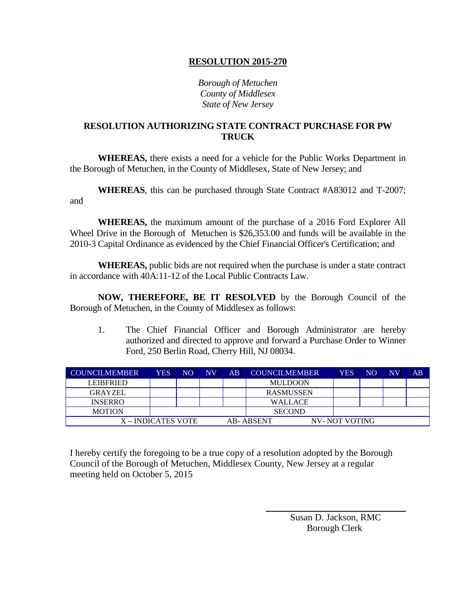*Borough of Metuchen County of Middlesex State of New Jersey*

### **RESOLUTION AUTHORIZING STATE CONTRACT PURCHASE FOR PW TRUCK**

**WHEREAS,** there exists a need for a vehicle for the Public Works Department in the Borough of Metuchen, in the County of Middlesex, State of New Jersey; and

**WHEREAS**, this can be purchased through State Contract #A83012 and T-2007; and

**WHEREAS,** the maximum amount of the purchase of a 2016 Ford Explorer All Wheel Drive in the Borough of Metuchen is \$26,353.00 and funds will be available in the 2010-3 Capital Ordinance as evidenced by the Chief Financial Officer's Certification; and

**WHEREAS,** public bids are not required when the purchase is under a state contract in accordance with 40A:11-12 of the Local Public Contracts Law.

**NOW, THEREFORE, BE IT RESOLVED** by the Borough Council of the Borough of Metuchen, in the County of Middlesex as follows:

1. The Chief Financial Officer and Borough Administrator are hereby authorized and directed to approve and forward a Purchase Order to Winner Ford, 250 Berlin Road, Cherry Hill, NJ 08034.

| <b>COUNCILMEMBER</b> | <b>YES</b>         | NO | NV | AB | <b>COUNCILMEMBER</b> | <b>YES</b>    | N <sub>O</sub> | $N\bar{V}$ | AB |
|----------------------|--------------------|----|----|----|----------------------|---------------|----------------|------------|----|
| <b>LEIBFRIED</b>     |                    |    |    |    | <b>MULDOON</b>       |               |                |            |    |
| <b>GRAYZEL</b>       |                    |    |    |    | <b>RASMUSSEN</b>     |               |                |            |    |
| <b>INSERRO</b>       |                    |    |    |    | <b>WALLACE</b>       |               |                |            |    |
| <b>MOTION</b>        |                    |    |    |    | <b>SECOND</b>        |               |                |            |    |
|                      | X – INDICATES VOTE |    |    |    | AB-ABSENT            | NV-NOT VOTING |                |            |    |

I hereby certify the foregoing to be a true copy of a resolution adopted by the Borough Council of the Borough of Metuchen, Middlesex County, New Jersey at a regular meeting held on October 5, 2015